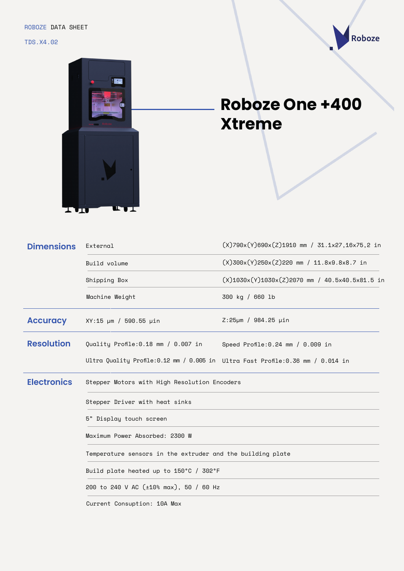

## Roboze

## **Roboze One +400 Xtreme**

| <b>Dimensions</b>  | External                                                                       | $(X)$ 790x $(Y)$ 690x $(Z)$ 1910 mm / 31.1x27,16x75,2 in |  |
|--------------------|--------------------------------------------------------------------------------|----------------------------------------------------------|--|
|                    | Build volume                                                                   | $(X)300x(Y)250x(Z)220$ mm / 11.8x9.8x8.7 in              |  |
|                    | Shipping Box                                                                   | $(X)1030x(Y)1030x(Z)2070$ mm / 40.5x40.5x81.5 in         |  |
|                    | Machine Weight                                                                 | 300 kg / 660 lb                                          |  |
| <b>Accuracy</b>    | XY:15 µm / 590.55 µin                                                          | $Z:25 \mu m / 984.25 \mu in$                             |  |
| <b>Resolution</b>  | Quality Profile:0.18 mm / 0.007 in                                             | Speed Profile: $0.24$ mm / $0.009$ in                    |  |
|                    | Ultra Quality Profile:0.12 mm / 0.005 in Ultra Fast Profile:0.36 mm / 0.014 in |                                                          |  |
| <b>Electronics</b> | Stepper Motors with High Resolution Encoders                                   |                                                          |  |
|                    | Stepper Driver with heat sinks                                                 |                                                          |  |
|                    | 5" Display touch screen                                                        |                                                          |  |
|                    | Maximum Power Absorbed: 2300 W                                                 |                                                          |  |
|                    | Temperature sensors in the extruder and the building plate                     |                                                          |  |
|                    | Build plate heated up to 150°C / 302°F                                         |                                                          |  |
|                    | 200 to 240 V AC (±10% max), 50 / 60 Hz                                         |                                                          |  |

Current Consuption: 10A Max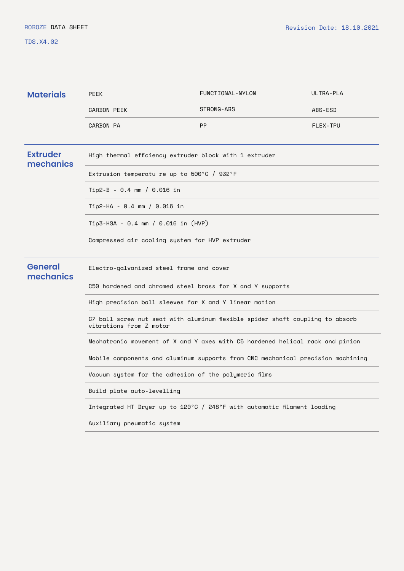TDS.X4.02

| <b>Materials</b>             | <b>PEEK</b>                                                                                              | FUNCTIONAL-NYLON | ULTRA-PLA |
|------------------------------|----------------------------------------------------------------------------------------------------------|------------------|-----------|
|                              | <b>CARBON PEEK</b>                                                                                       | STRONG-ABS       | ABS-ESD   |
|                              | <b>CARBON PA</b>                                                                                         | <b>PP</b>        | FLEX-TPU  |
| <b>Extruder</b><br>mechanics | High thermal efficiency extruder block with 1 extruder                                                   |                  |           |
|                              | Extrusion temperatu re up to 500°C / 932°F                                                               |                  |           |
|                              | Tip2-B - 0.4 mm / 0.016 in                                                                               |                  |           |
|                              | $Tip2-HA - 0.4 mm / 0.016 in$                                                                            |                  |           |
|                              | Tip3-HSA - 0.4 mm / 0.016 in (HVP)                                                                       |                  |           |
|                              | Compressed air cooling system for HVP extruder                                                           |                  |           |
| <b>General</b><br>mechanics  | Electro-galvanized steel frame and cover                                                                 |                  |           |
|                              | C50 hardened and chromed steel brass for X and Y supports                                                |                  |           |
|                              | High precision ball sleeves for X and Y linear motion                                                    |                  |           |
|                              | C7 ball screw nut seat with aluminum flexible spider shaft coupling to absorb<br>vibrations from Z motor |                  |           |
|                              | Mechatronic movement of X and Y axes with C5 hardened helical rack and pinion                            |                  |           |
|                              | Mobile components and aluminum supports from CNC mechanical precision machining                          |                  |           |
|                              | Vacuum system for the adhesion of the polymeric films                                                    |                  |           |
|                              | Build plate auto-levelling                                                                               |                  |           |
|                              | Integrated HT Dryer up to 120°C / 248°F with automatic filament loading                                  |                  |           |
|                              | Auxiliary pneumatic system                                                                               |                  |           |